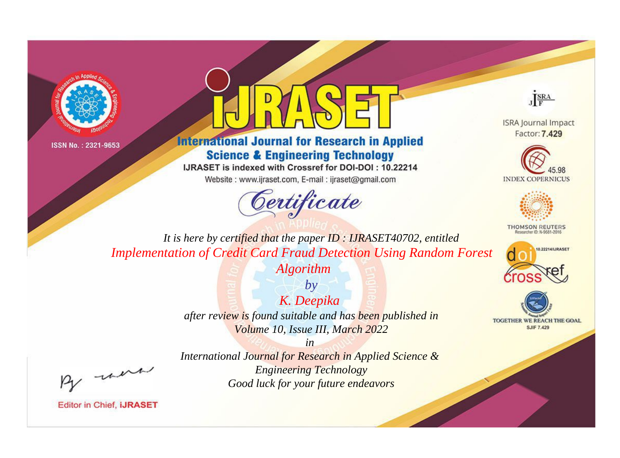



## **International Journal for Research in Applied Science & Engineering Technology**

IJRASET is indexed with Crossref for DOI-DOI: 10.22214

Website: www.ijraset.com, E-mail: ijraset@gmail.com



JERA

**ISRA Journal Impact** Factor: 7.429





**THOMSON REUTERS** 



TOGETHER WE REACH THE GOAL **SJIF 7.429** 

It is here by certified that the paper ID: IJRASET40702, entitled **Implementation of Credit Card Fraud Detection Using Random Forest** 

**Algorithm** 

 $by$ K. Deepika after review is found suitable and has been published in Volume 10, Issue III, March 2022

 $in$ 

International Journal for Research in Applied Science & **Engineering Technology** Good luck for your future endeavors

-were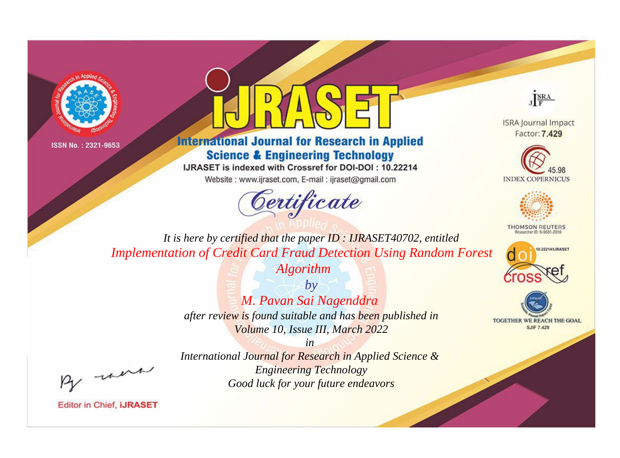



## **International Journal for Research in Applied Science & Engineering Technology**

IJRASET is indexed with Crossref for DOI-DOI: 10.22214

Website: www.ijraset.com, E-mail: ijraset@gmail.com





**ISRA Journal Impact** Factor: 7.429





**THOMSON REUTERS** 



TOGETHER WE REACH THE GOAL **SJIF 7.429** 

*It is here by certified that the paper ID : IJRASET40702, entitled Implementation of Credit Card Fraud Detection Using Random Forest* 

*Algorithm*

*by M. Pavan Sai Nagenddra after review is found suitable and has been published in Volume 10, Issue III, March 2022*

, were

*International Journal for Research in Applied Science & Engineering Technology Good luck for your future endeavors*

*in*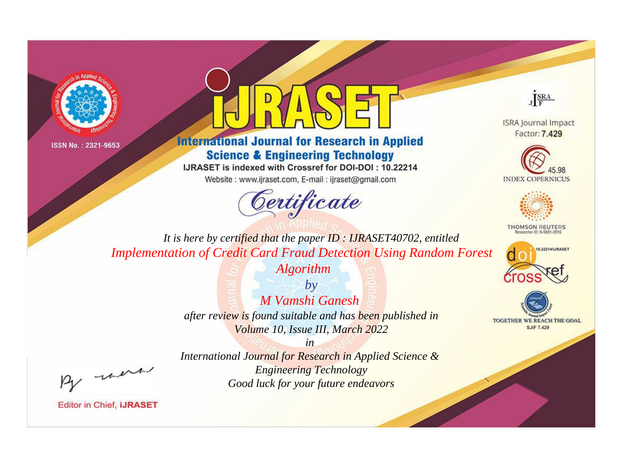



## **International Journal for Research in Applied Science & Engineering Technology**

IJRASET is indexed with Crossref for DOI-DOI: 10.22214

Website: www.ijraset.com, E-mail: ijraset@gmail.com



JERA

**ISRA Journal Impact** Factor: 7.429





**THOMSON REUTERS** 



TOGETHER WE REACH THE GOAL **SJIF 7.429** 

It is here by certified that the paper ID: IJRASET40702, entitled **Implementation of Credit Card Fraud Detection Using Random Forest** 

**Algorithm** 

 $by$ M Vamshi Ganesh after review is found suitable and has been published in Volume 10, Issue III, March 2022

. were

International Journal for Research in Applied Science & **Engineering Technology** Good luck for your future endeavors

 $in$